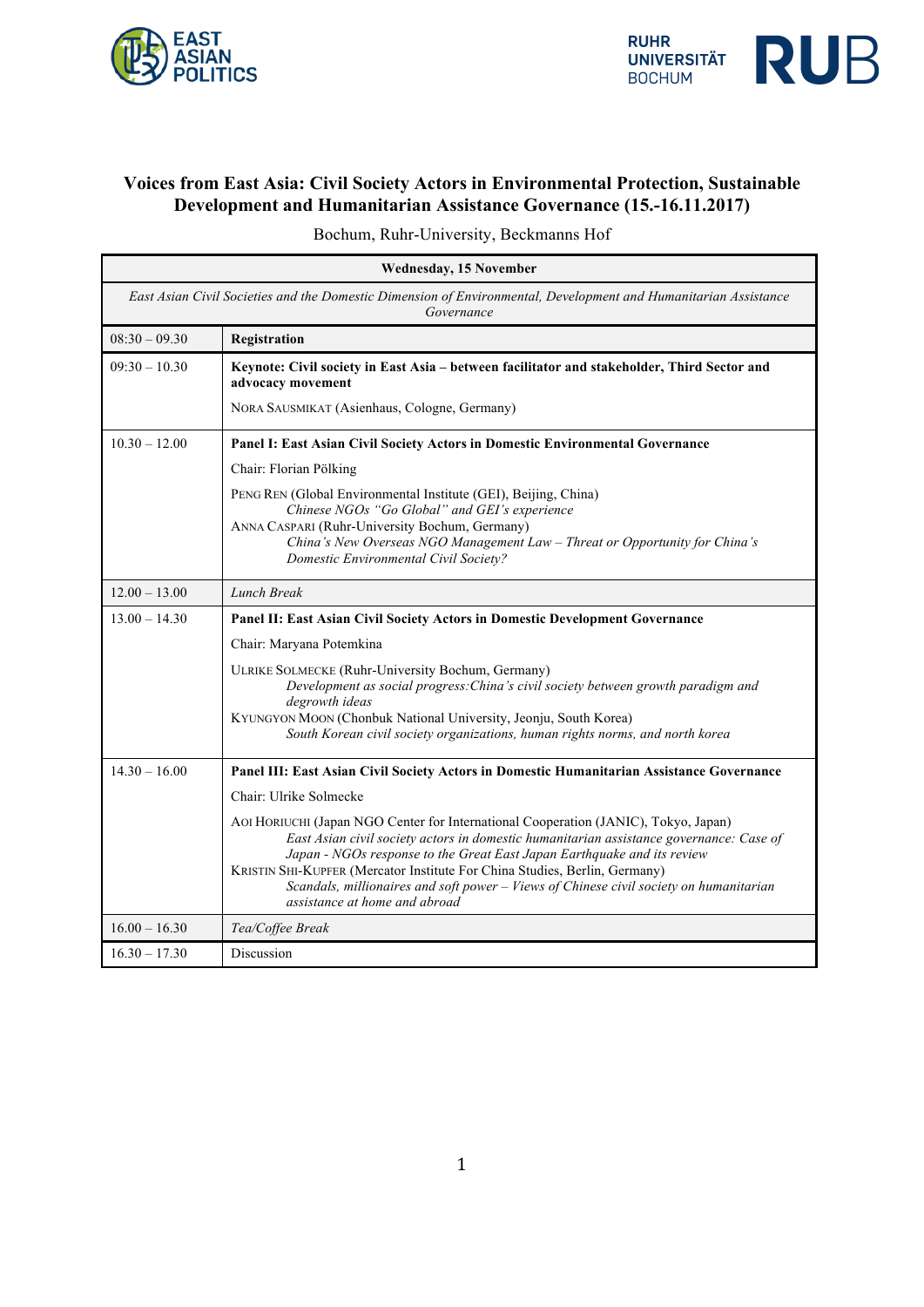



## **Voices from East Asia: Civil Society Actors in Environmental Protection, Sustainable Development and Humanitarian Assistance Governance (15.-16.11.2017)**

Bochum, Ruhr-University, Beckmanns Hof

| <b>Wednesday, 15 November</b>                                                                                                 |                                                                                                                                                                                                                                                                                                                                                                                                                                                                    |
|-------------------------------------------------------------------------------------------------------------------------------|--------------------------------------------------------------------------------------------------------------------------------------------------------------------------------------------------------------------------------------------------------------------------------------------------------------------------------------------------------------------------------------------------------------------------------------------------------------------|
| East Asian Civil Societies and the Domestic Dimension of Environmental, Development and Humanitarian Assistance<br>Governance |                                                                                                                                                                                                                                                                                                                                                                                                                                                                    |
| $08:30 - 09.30$                                                                                                               | Registration                                                                                                                                                                                                                                                                                                                                                                                                                                                       |
| $09:30 - 10.30$                                                                                                               | Keynote: Civil society in East Asia - between facilitator and stakeholder, Third Sector and<br>advocacy movement                                                                                                                                                                                                                                                                                                                                                   |
|                                                                                                                               | NORA SAUSMIKAT (Asienhaus, Cologne, Germany)                                                                                                                                                                                                                                                                                                                                                                                                                       |
| $10.30 - 12.00$                                                                                                               | Panel I: East Asian Civil Society Actors in Domestic Environmental Governance                                                                                                                                                                                                                                                                                                                                                                                      |
|                                                                                                                               | Chair: Florian Pölking                                                                                                                                                                                                                                                                                                                                                                                                                                             |
|                                                                                                                               | PENG REN (Global Environmental Institute (GEI), Beijing, China)                                                                                                                                                                                                                                                                                                                                                                                                    |
|                                                                                                                               | Chinese NGOs "Go Global" and GEI's experience<br>ANNA CASPARI (Ruhr-University Bochum, Germany)                                                                                                                                                                                                                                                                                                                                                                    |
|                                                                                                                               | China's New Overseas NGO Management Law - Threat or Opportunity for China's<br><b>Domestic Environmental Civil Society?</b>                                                                                                                                                                                                                                                                                                                                        |
| $12.00 - 13.00$                                                                                                               | Lunch Break                                                                                                                                                                                                                                                                                                                                                                                                                                                        |
| $13.00 - 14.30$                                                                                                               | Panel II: East Asian Civil Society Actors in Domestic Development Governance                                                                                                                                                                                                                                                                                                                                                                                       |
|                                                                                                                               | Chair: Maryana Potemkina                                                                                                                                                                                                                                                                                                                                                                                                                                           |
|                                                                                                                               | <b>ULRIKE SOLMECKE (Ruhr-University Bochum, Germany)</b><br>Development as social progress: China's civil society between growth paradigm and<br>degrowth ideas<br>KYUNGYON MOON (Chonbuk National University, Jeonju, South Korea)<br>South Korean civil society organizations, human rights norms, and north korea                                                                                                                                               |
| $14.30 - 16.00$                                                                                                               | Panel III: East Asian Civil Society Actors in Domestic Humanitarian Assistance Governance                                                                                                                                                                                                                                                                                                                                                                          |
|                                                                                                                               | Chair: Ulrike Solmecke                                                                                                                                                                                                                                                                                                                                                                                                                                             |
|                                                                                                                               | AOI HORIUCHI (Japan NGO Center for International Cooperation (JANIC), Tokyo, Japan)<br>East Asian civil society actors in domestic humanitarian assistance governance: Case of<br>Japan - NGOs response to the Great East Japan Earthquake and its review<br>KRISTIN SHI-KUPFER (Mercator Institute For China Studies, Berlin, Germany)<br>Scandals, millionaires and soft power - Views of Chinese civil society on humanitarian<br>assistance at home and abroad |
| $16.00 - 16.30$                                                                                                               | Tea/Coffee Break                                                                                                                                                                                                                                                                                                                                                                                                                                                   |
| $16.30 - 17.30$                                                                                                               | Discussion                                                                                                                                                                                                                                                                                                                                                                                                                                                         |